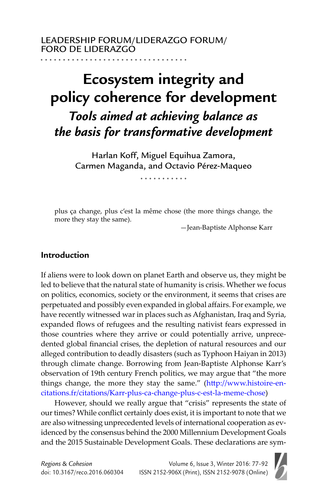# **Ecosystem integrity and policy coherence for development**

*Tools aimed at achieving balance as the basis for transformative development*

Harlan Koff, Miguel Equihua Zamora, Carmen Maganda, and Octavio Pérez-Maqueo

. . . . . . . . . . .

plus ça change, plus c'est la même chose (the more things change, the more they stay the same).

—Jean-Baptiste Alphonse Karr

## **Introduction**

If aliens were to look down on planet Earth and observe us, they might be led to believe that the natural state of humanity is crisis. Whether we focus on politics, economics, society or the environment, it seems that crises are perpetuated and possibly even expanded in global affairs. For example, we have recently witnessed war in places such as Afghanistan, Iraq and Syria, expanded flows of refugees and the resulting nativist fears expressed in those countries where they arrive or could potentially arrive, unprecedented global financial crises, the depletion of natural resources and our alleged contribution to deadly disasters (such as Typhoon Haiyan in 2013) through climate change. Borrowing from Jean-Baptiste Alphonse Karr's observation of 19th century French politics, we may argue that "the more things change, the more they stay the same." (http://www.histoire-en[citations.fr/citations/Karr-plus-ca-change-plus-c-est-la-meme-chose\)](http://www.histoire-en-citations.fr/citations/Karr-plus-ca-change-plus-c-est-la-meme-chose)

However, should we really argue that "crisis" represents the state of our times? While conflict certainly does exist, it is important to note that we are also witnessing unprecedented levels of international cooperation as evidenced by the consensus behind the 2000 Millennium Development Goals and the 2015 Sustainable Development Goals. These declarations are sym-

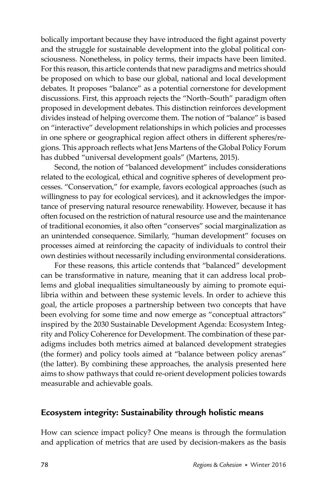bolically important because they have introduced the fight against poverty and the struggle for sustainable development into the global political consciousness. Nonetheless, in policy terms, their impacts have been limited. For this reason, this article contends that new paradigms and metrics should be proposed on which to base our global, national and local development debates. It proposes "balance" as a potential cornerstone for development discussions. First, this approach rejects the "North-South" paradigm often proposed in development debates. This distinction reinforces development divides instead of helping overcome them. The notion of "balance" is based on "interactive" development relationships in which policies and processes in one sphere or geographical region affect others in different spheres/regions. This approach reflects what Jens Martens of the Global Policy Forum has dubbed "universal development goals" (Martens, 2015).

Second, the notion of "balanced development" includes considerations related to the ecological, ethical and cognitive spheres of development processes. "Conservation," for example, favors ecological approaches (such as willingness to pay for ecological services), and it acknowledges the importance of preserving natural resource renewability. However, because it has often focused on the restriction of natural resource use and the maintenance of traditional economies, it also often "conserves" social marginalization as an unintended consequence. Similarly, "human development" focuses on processes aimed at reinforcing the capacity of individuals to control their own destinies without necessarily including environmental considerations.

For these reasons, this article contends that "balanced" development can be transformative in nature, meaning that it can address local problems and global inequalities simultaneously by aiming to promote equilibria within and between these systemic levels. In order to achieve this goal, the article proposes a partnership between two concepts that have been evolving for some time and now emerge as "conceptual attractors" inspired by the 2030 Sustainable Development Agenda: Ecosystem Integrity and Policy Coherence for Development. The combination of these paradigms includes both metrics aimed at balanced development strategies (the former) and policy tools aimed at "balance between policy arenas" (the latter). By combining these approaches, the analysis presented here aims to show pathways that could re-orient development policies towards measurable and achievable goals.

#### **Ecosystem integrity: Sustainability through holistic means**

How can science impact policy? One means is through the formulation and application of metrics that are used by decision-makers as the basis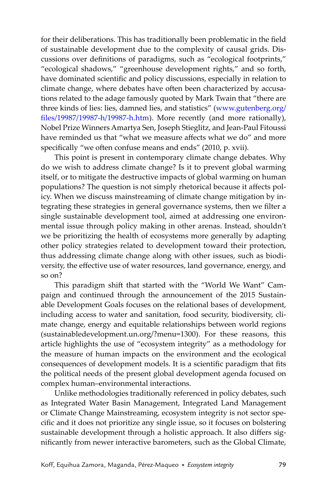for their deliberations. This has traditionally been problematic in the field of sustainable development due to the complexity of causal grids. Discussions over definitions of paradigms, such as "ecological footprints," "ecological shadows," "greenhouse development rights," and so forth, have dominated scientific and policy discussions, especially in relation to climate change, where debates have often been characterized by accusations related to the adage famously quoted by Mark Twain that "there are three kinds of lies: lies, damned lies, and statistics" [\(www.gutenberg.org/](http://www.gutenberg.org/files/19987/19987-h/19987-h.htm) files/19987/19987-h/19987-h.htm). More recently (and more rationally), Nobel Prize Winners Amartya Sen, Joseph Stieglitz, and Jean-Paul Fitoussi have reminded us that "what we measure affects what we do" and more specifically "we often confuse means and ends" (2010, p. xvii).

This point is present in contemporary climate change debates. Why do we wish to address climate change? Is it to prevent global warming itself, or to mitigate the destructive impacts of global warming on human populations? The question is not simply rhetorical because it affects policy. When we discuss mainstreaming of climate change mitigation by integrating these strategies in general governance systems, then we filter a single sustainable development tool, aimed at addressing one environmental issue through policy making in other arenas. Instead, shouldn't we be prioritizing the health of ecosystems more generally by adapting other policy strategies related to development toward their protection, thus addressing climate change along with other issues, such as biodiversity, the effective use of water resources, land governance, energy, and so on?

This paradigm shift that started with the "World We Want" Campaign and continued through the announcement of the 2015 Sustainable Development Goals focuses on the relational bases of development, including access to water and sanitation, food security, biodiversity, climate change, energy and equitable relationships between world regions (sustainabledevelopment.un.org/?menu=1300). For these reasons, this article highlights the use of "ecosystem integrity" as a methodology for the measure of human impacts on the environment and the ecological consequences of development models. It is a scientific paradigm that fits the political needs of the present global development agenda focused on complex human–environmental interactions.

Unlike methodologies traditionally referenced in policy debates, such as Integrated Water Basin Management, Integrated Land Management or Climate Change Mainstreaming, ecosystem integrity is not sector specific and it does not prioritize any single issue, so it focuses on bolstering sustainable development through a holistic approach. It also differs significantly from newer interactive barometers, such as the Global Climate,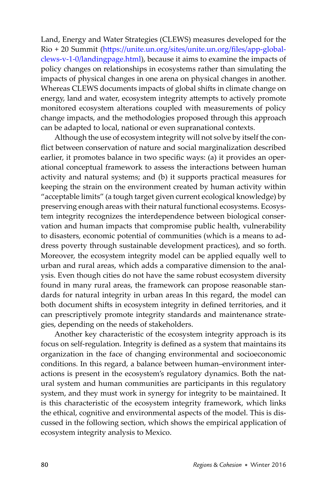Land, Energy and Water Strategies (CLEWS) measures developed for the Rio + 20 Summit (https://unite.un.org/sites/unite.un.org/files/app-global[clews-v-1-0/landingpage.html\)](https://unite.un.org/sites/unite.un.org/files/app-globalclews-v-1-0/landingpage.html), because it aims to examine the impacts of policy changes on relationships in ecosystems rather than simulating the impacts of physical changes in one arena on physical changes in another. Whereas CLEWS documents impacts of global shifts in climate change on energy, land and water, ecosystem integrity attempts to actively promote monitored ecosystem alterations coupled with measurements of policy change impacts, and the methodologies proposed through this approach can be adapted to local, national or even supranational contexts.

Although the use of ecosystem integrity will not solve by itself the conflict between conservation of nature and social marginalization described earlier, it promotes balance in two specific ways: (a) it provides an operational conceptual framework to assess the interactions between human activity and natural systems; and (b) it supports practical measures for keeping the strain on the environment created by human activity within "acceptable limits" (a tough target given current ecological knowledge) by preserving enough areas with their natural functional ecosystems. Ecosystem integrity recognizes the interdependence between biological conservation and human impacts that compromise public health, vulnerability to disasters, economic potential of communities (which is a means to address poverty through sustainable development practices), and so forth. Moreover, the ecosystem integrity model can be applied equally well to urban and rural areas, which adds a comparative dimension to the analysis. Even though cities do not have the same robust ecosystem diversity found in many rural areas, the framework can propose reasonable standards for natural integrity in urban areas In this regard, the model can both document shifts in ecosystem integrity in defined territories, and it can prescriptively promote integrity standards and maintenance strategies, depending on the needs of stakeholders.

Another key characteristic of the ecosystem integrity approach is its focus on self-regulation. Integrity is defined as a system that maintains its organization in the face of changing environmental and socioeconomic conditions. In this regard, a balance between human–environment interactions is present in the ecosystem's regulatory dynamics. Both the natural system and human communities are participants in this regulatory system, and they must work in synergy for integrity to be maintained. It is this characteristic of the ecosystem integrity framework, which links the ethical, cognitive and environmental aspects of the model. This is discussed in the following section, which shows the empirical application of ecosystem integrity analysis to Mexico.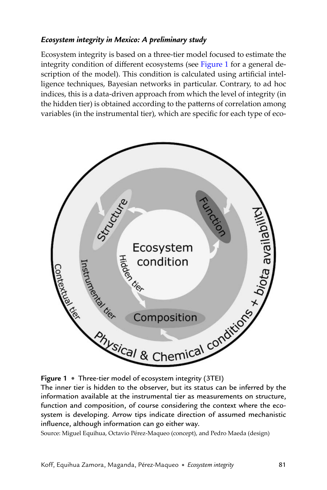#### *Ecosystem integrity in Mexico: A preliminary study*

Ecosystem integrity is based on a three-tier model focused to estimate the integrity condition of different ecosystems (see Figure 1 for a general description of the model). This condition is calculated using artificial intelligence techniques, Bayesian networks in particular. Contrary, to ad hoc indices, this is a data-driven approach from which the level of integrity (in the hidden tier) is obtained according to the patterns of correlation among variables (in the instrumental tier), which are specific for each type of eco-





The inner tier is hidden to the observer, but its status can be inferred by the function and composition, of course considering the context where the ecosystem is developing. Arrow tips indicate direction of assumed mechanistic influence, although information can go either way.

Source: Miguel Equihua, Octavio Pérez-Maqueo (concept), and Pedro Maeda (design)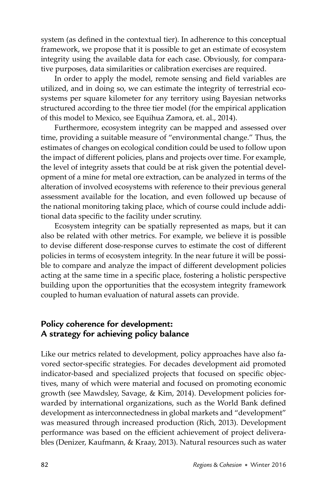system (as defined in the contextual tier). In adherence to this conceptual framework, we propose that it is possible to get an estimate of ecosystem integrity using the available data for each case. Obviously, for comparative purposes, data similarities or calibration exercises are required.

In order to apply the model, remote sensing and field variables are utilized, and in doing so, we can estimate the integrity of terrestrial ecosystems per square kilometer for any territory using Bayesian networks structured according to the three tier model (for the empirical application of this model to Mexico, see Equihua Zamora, et. al., 2014).

Furthermore, ecosystem integrity can be mapped and assessed over time, providing a suitable measure of "environmental change." Thus, the estimates of changes on ecological condition could be used to follow upon the impact of different policies, plans and projects over time. For example, the level of integrity assets that could be at risk given the potential development of a mine for metal ore extraction, can be analyzed in terms of the alteration of involved ecosystems with reference to their previous general assessment available for the location, and even followed up because of the national monitoring taking place, which of course could include additional data specific to the facility under scrutiny.

Ecosystem integrity can be spatially represented as maps, but it can also be related with other metrics. For example, we believe it is possible to devise different dose-response curves to estimate the cost of different policies in terms of ecosystem integrity. In the near future it will be possible to compare and analyze the impact of different development policies acting at the same time in a specific place, fostering a holistic perspective building upon the opportunities that the ecosystem integrity framework coupled to human evaluation of natural assets can provide.

### **Policy coherence for development: A strategy for achieving policy balance**

Like our metrics related to development, policy approaches have also favored sector-specific strategies. For decades development aid promoted indicator-based and specialized projects that focused on specific objectives, many of which were material and focused on promoting economic growth (see Mawdsley, Savage, & Kim, 2014). Development policies forwarded by international organizations, such as the World Bank defined development as interconnectedness in global markets and "development" was measured through increased production (Rich, 2013). Development performance was based on the efficient achievement of project deliverables (Denizer, Kaufmann, & Kraay, 2013). Natural resources such as water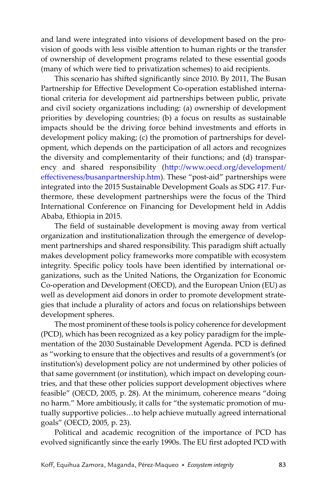and land were integrated into visions of development based on the provision of goods with less visible attention to human rights or the transfer of ownership of development programs related to these essential goods (many of which were tied to privatization schemes) to aid recipients.

This scenario has shifted significantly since 2010. By 2011, The Busan Partnership for Effective Development Co-operation established international criteria for development aid partnerships between public, private and civil society organizations including: (a) ownership of development priorities by developing countries; (b) a focus on results as sustainable impacts should be the driving force behind investments and efforts in development policy making; (c) the promotion of partnerships for development, which depends on the participation of all actors and recognizes the diversity and complementarity of their functions; and (d) transparency and shared responsibility (http://www.oecd.org/development/ effectiveness/busanpartnership.htm). These "post-aid" partnerships were integrated into the 2015 Sustainable Development Goals as SDG #17. Furthermore, these development partnerships were the focus of the Third International Conference on Financing for Development held in Addis Ababa, Ethiopia in 2015.

The field of sustainable development is moving away from vertical organization and institutionalization through the emergence of development partnerships and shared responsibility. This paradigm shift actually makes development policy frameworks more compatible with ecosystem integrity. Specific policy tools have been identified by international organizations, such as the United Nations, the Organization for Economic Co-operation and Development (OECD), and the European Union (EU) as well as development aid donors in order to promote development strategies that include a plurality of actors and focus on relationships between development spheres.

The most prominent of these tools is policy coherence for development (PCD), which has been recognized as a key policy paradigm for the implementation of the 2030 Sustainable Development Agenda. PCD is defined as "working to ensure that the objectives and results of a government's (or institution's) development policy are not undermined by other policies of that same government (or institution), which impact on developing countries, and that these other policies support development objectives where feasible" (OECD, 2005, p. 28). At the minimum, coherence means "doing no harm." More ambitiously, it calls for "the systematic promotion of mutually supportive policies…to help achieve mutually agreed international goals" (OECD, 2005, p. 23).

Political and academic recognition of the importance of PCD has evolved significantly since the early 1990s. The EU first adopted PCD with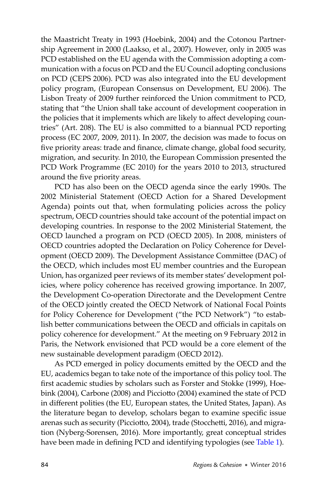the Maastricht Treaty in 1993 (Hoebink, 2004) and the Cotonou Partnership Agreement in 2000 (Laakso, et al., 2007). However, only in 2005 was PCD established on the EU agenda with the Commission adopting a communication with a focus on PCD and the EU Council adopting conclusions on PCD (CEPS 2006). PCD was also integrated into the EU development policy program, (European Consensus on Development, EU 2006). The Lisbon Treaty of 2009 further reinforced the Union commitment to PCD, stating that "the Union shall take account of development cooperation in the policies that it implements which are likely to affect developing countries" (Art. 208). The EU is also committed to a biannual PCD reporting process (EC 2007, 2009, 2011). In 2007, the decision was made to focus on five priority areas: trade and finance, climate change, global food security, migration, and security. In 2010, the European Commission presented the PCD Work Programme (EC 2010) for the years 2010 to 2013, structured around the five priority areas.

PCD has also been on the OECD agenda since the early 1990s. The 2002 Ministerial Statement (OECD Action for a Shared Development Agenda) points out that, when formulating policies across the policy spectrum, OECD countries should take account of the potential impact on developing countries. In response to the 2002 Ministerial Statement, the OECD launched a program on PCD (OECD 2005). In 2008, ministers of OECD countries adopted the Declaration on Policy Coherence for Development (OECD 2009). The Development Assistance Committee (DAC) of the OECD, which includes most EU member countries and the European Union, has organized peer reviews of its member states' development policies, where policy coherence has received growing importance. In 2007, the Development Co-operation Directorate and the Development Centre of the OECD jointly created the OECD Network of National Focal Points for Policy Coherence for Development ("the PCD Network") "to establish better communications between the OECD and officials in capitals on policy coherence for development." At the meeting on 9 February 2012 in Paris, the Network envisioned that PCD would be a core element of the new sustainable development paradigm (OECD 2012).

As PCD emerged in policy documents emitted by the OECD and the EU, academics began to take note of the importance of this policy tool. The first academic studies by scholars such as Forster and Stokke (1999), Hoebink (2004), Carbone (2008) and Picciotto (2004) examined the state of PCD in different polities (the EU, European states, the United States, Japan). As the literature began to develop, scholars began to examine specific issue arenas such as security (Picciotto, 2004), trade (Stocchetti, 2016), and migration (Nyberg-Sorensen, 2016). More importantly, great conceptual strides have been made in defining PCD and identifying typologies (see [Table 1](#page-8-0)).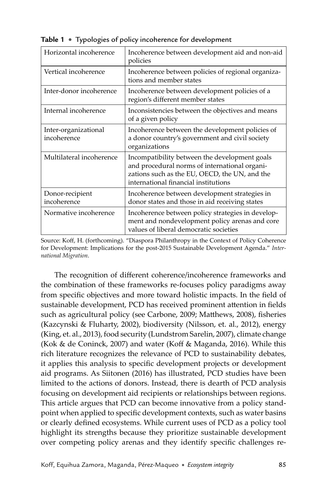| Horizontal incoherence              | Incoherence between development aid and non-aid<br>policies                                                                                                                             |
|-------------------------------------|-----------------------------------------------------------------------------------------------------------------------------------------------------------------------------------------|
| Vertical incoherence                | Incoherence between policies of regional organiza-<br>tions and member states                                                                                                           |
| Inter-donor incoherence             | Incoherence between development policies of a<br>region's different member states                                                                                                       |
| Internal incoherence                | Inconsistencies between the objectives and means<br>of a given policy                                                                                                                   |
| Inter-organizational<br>incoherence | Incoherence between the development policies of<br>a donor country's government and civil society<br>organizations                                                                      |
| Multilateral incoherence            | Incompatibility between the development goals<br>and procedural norms of international organi-<br>zations such as the EU, OECD, the UN, and the<br>international financial institutions |
| Donor-recipient<br>incoherence      | Incoherence between development strategies in<br>donor states and those in aid receiving states                                                                                         |
| Normative incoherence               | Incoherence between policy strategies in develop-<br>ment and nondevelopment policy arenas and core<br>values of liberal democratic societies                                           |

<span id="page-8-0"></span>**Table 1** • Typologies of policy incoherence for development

Source: Koff, H. (forthcoming). "Diaspora Philanthropy in the Context of Policy Coherence for Development: Implications for the post-2015 Sustainable Development Agenda." *International Migration*.

The recognition of different coherence/incoherence frameworks and the combination of these frameworks re-focuses policy paradigms away from specific objectives and more toward holistic impacts. In the field of sustainable development, PCD has received prominent attention in fields such as agricultural policy (see Carbone, 2009; Matthews, 2008), fisheries (Kazcynski & Fluharty, 2002), biodiversity (Nilsson, et. al., 2012), energy (King, et. al., 2013), food security (Lundstrom Sarelin, 2007), climate change (Kok & de Coninck, 2007) and water (Koff & Maganda, 2016). While this rich literature recognizes the relevance of PCD to sustainability debates, it applies this analysis to specific development projects or development aid programs. As Siitonen (2016) has illustrated, PCD studies have been limited to the actions of donors. Instead, there is dearth of PCD analysis focusing on development aid recipients or relationships between regions. This article argues that PCD can become innovative from a policy standpoint when applied to specific development contexts, such as water basins or clearly defined ecosystems. While current uses of PCD as a policy tool highlight its strengths because they prioritize sustainable development over competing policy arenas and they identify specific challenges re-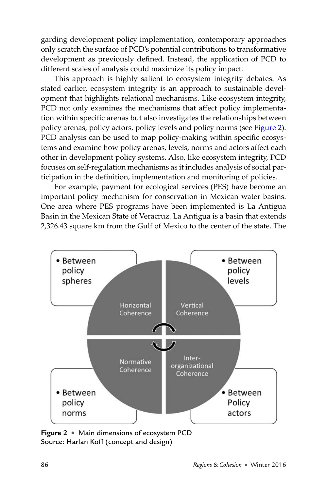garding development policy implementation, contemporary approaches only scratch the surface of PCD's potential contributions to transformative development as previously defined. Instead, the application of PCD to different scales of analysis could maximize its policy impact.

This approach is highly salient to ecosystem integrity debates. As stated earlier, ecosystem integrity is an approach to sustainable development that highlights relational mechanisms. Like ecosystem integrity, PCD not only examines the mechanisms that affect policy implementation within specific arenas but also investigates the relationships between policy arenas, policy actors, policy levels and policy norms (see Figure 2). PCD analysis can be used to map policy-making within specific ecosystems and examine how policy arenas, levels, norms and actors affect each other in development policy systems. Also, like ecosystem integrity, PCD focuses on self-regulation mechanisms as it includes analysis of social participation in the definition, implementation and monitoring of policies.

For example, payment for ecological services (PES) have become an important policy mechanism for conservation in Mexican water basins. One area where PES programs have been implemented is La Antigua Basin in the Mexican State of Veracruz. La Antigua is a basin that extends 2,326.43 square km from the Gulf of Mexico to the center of the state. The



**Figure 2** • Main dimensions of ecosystem PCD Source: Harlan Koff (concept and design)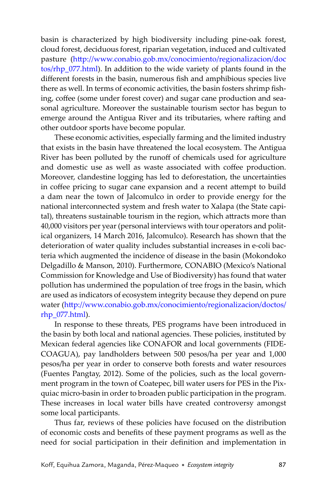basin is characterized by high biodiversity including pine-oak forest, cloud forest, deciduous forest, riparian vegetation, induced and cultivated pasture (http://www.conabio.gob.mx/conocimiento/regionalizacion/doc [tos/rhp\\_077.html\)](http://www.conabio.gob.mx/conocimiento/regionalizacion/doctos/rhp_077.html). In addition to the wide variety of plants found in the different forests in the basin, numerous fish and amphibious species live there as well. In terms of economic activities, the basin fosters shrimp fishing, coffee (some under forest cover) and sugar cane production and seasonal agriculture. Moreover the sustainable tourism sector has begun to emerge around the Antigua River and its tributaries, where rafting and other outdoor sports have become popular.

These economic activities, especially farming and the limited industry that exists in the basin have threatened the local ecosystem. The Antigua River has been polluted by the runoff of chemicals used for agriculture and domestic use as well as waste associated with coffee production. Moreover, clandestine logging has led to deforestation, the uncertainties in coffee pricing to sugar cane expansion and a recent attempt to build a dam near the town of Jalcomulco in order to provide energy for the national interconnected system and fresh water to Xalapa (the State capital), threatens sustainable tourism in the region, which attracts more than 40,000 visitors per year (personal interviews with tour operators and political organizers, 14 March 2016, Jalcomulco). Research has shown that the deterioration of water quality includes substantial increases in e-coli bacteria which augmented the incidence of disease in the basin (Mokondoko Delgadillo & Manson, 2010). Furthermore, CONABIO (Mexico's National Commission for Knowledge and Use of Biodiversity) has found that water pollution has undermined the population of tree frogs in the basin, which are used as indicators of ecosystem integrity because they depend on pure water (http://www.conabio.gob.mx/conocimiento/regionalizacion/doctos/ [rhp\\_077.html\)](http://www.conabio.gob.mx/conocimiento/regionalizacion/doctos/rhp_077.html).

In response to these threats, PES programs have been introduced in the basin by both local and national agencies. These policies, instituted by Mexican federal agencies like CONAFOR and local governments (FIDE-COAGUA), pay landholders between 500 pesos/ha per year and 1,000 pesos/ha per year in order to conserve both forests and water resources (Fuentes Pangtay, 2012). Some of the policies, such as the local government program in the town of Coatepec, bill water users for PES in the Pixquiac micro-basin in order to broaden public participation in the program. These increases in local water bills have created controversy amongst some local participants.

Thus far, reviews of these policies have focused on the distribution of economic costs and benefits of these payment programs as well as the need for social participation in their definition and implementation in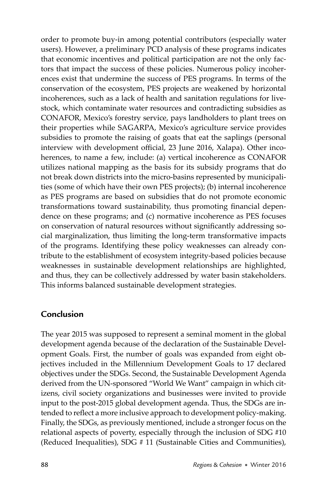order to promote buy-in among potential contributors (especially water users). However, a preliminary PCD analysis of these programs indicates that economic incentives and political participation are not the only factors that impact the success of these policies. Numerous policy incoherences exist that undermine the success of PES programs. In terms of the conservation of the ecosystem, PES projects are weakened by horizontal incoherences, such as a lack of health and sanitation regulations for livestock, which contaminate water resources and contradicting subsidies as CONAFOR, Mexico's forestry service, pays landholders to plant trees on their properties while SAGARPA, Mexico's agriculture service provides subsidies to promote the raising of goats that eat the saplings (personal interview with development official, 23 June 2016, Xalapa). Other incoherences, to name a few, include: (a) vertical incoherence as CONAFOR utilizes national mapping as the basis for its subsidy programs that do not break down districts into the micro-basins represented by municipalities (some of which have their own PES projects); (b) internal incoherence as PES programs are based on subsidies that do not promote economic transformations toward sustainability, thus promoting financial dependence on these programs; and (c) normative incoherence as PES focuses on conservation of natural resources without significantly addressing social marginalization, thus limiting the long-term transformative impacts of the programs. Identifying these policy weaknesses can already contribute to the establishment of ecosystem integrity-based policies because weaknesses in sustainable development relationships are highlighted, and thus, they can be collectively addressed by water basin stakeholders. This informs balanced sustainable development strategies.

#### **Conclusion**

The year 2015 was supposed to represent a seminal moment in the global development agenda because of the declaration of the Sustainable Development Goals. First, the number of goals was expanded from eight objectives included in the Millennium Development Goals to 17 declared objectives under the SDGs. Second, the Sustainable Development Agenda derived from the UN-sponsored "World We Want" campaign in which citizens, civil society organizations and businesses were invited to provide input to the post-2015 global development agenda. Thus, the SDGs are intended to reflect a more inclusive approach to development policy-making. Finally, the SDGs, as previously mentioned, include a stronger focus on the relational aspects of poverty, especially through the inclusion of SDG #10 (Reduced Inequalities), SDG # 11 (Sustainable Cities and Communities),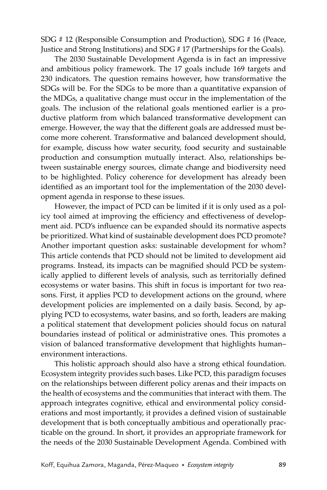SDG # 12 (Responsible Consumption and Production), SDG # 16 (Peace, Justice and Strong Institutions) and SDG # 17 (Partnerships for the Goals).

The 2030 Sustainable Development Agenda is in fact an impressive and ambitious policy framework. The 17 goals include 169 targets and 230 indicators. The question remains however, how transformative the SDGs will be. For the SDGs to be more than a quantitative expansion of the MDGs, a qualitative change must occur in the implementation of the goals. The inclusion of the relational goals mentioned earlier is a productive platform from which balanced transformative development can emerge. However, the way that the different goals are addressed must become more coherent. Transformative and balanced development should, for example, discuss how water security, food security and sustainable production and consumption mutually interact. Also, relationships between sustainable energy sources, climate change and biodiversity need to be highlighted. Policy coherence for development has already been identified as an important tool for the implementation of the 2030 development agenda in response to these issues.

However, the impact of PCD can be limited if it is only used as a policy tool aimed at improving the efficiency and effectiveness of development aid. PCD's influence can be expanded should its normative aspects be prioritized. What kind of sustainable development does PCD promote? Another important question asks: sustainable development for whom? This article contends that PCD should not be limited to development aid programs. Instead, its impacts can be magnified should PCD be systemically applied to different levels of analysis, such as territorially defined ecosystems or water basins. This shift in focus is important for two reasons. First, it applies PCD to development actions on the ground, where development policies are implemented on a daily basis. Second, by applying PCD to ecosystems, water basins, and so forth, leaders are making a political statement that development policies should focus on natural boundaries instead of political or administrative ones. This promotes a vision of balanced transformative development that highlights human– environment interactions.

This holistic approach should also have a strong ethical foundation. Ecosystem integrity provides such bases. Like PCD, this paradigm focuses on the relationships between different policy arenas and their impacts on the health of ecosystems and the communities that interact with them. The approach integrates cognitive, ethical and environmental policy considerations and most importantly, it provides a defined vision of sustainable development that is both conceptually ambitious and operationally practicable on the ground. In short, it provides an appropriate framework for the needs of the 2030 Sustainable Development Agenda. Combined with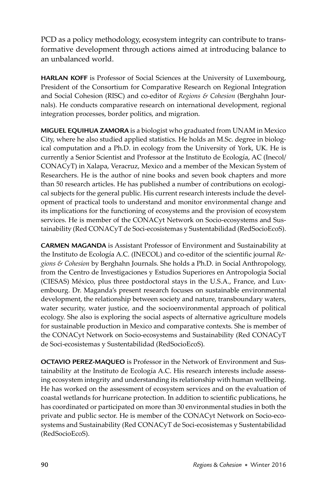PCD as a policy methodology, ecosystem integrity can contribute to transformative development through actions aimed at introducing balance to an unbalanced world.

**HARLAN KOFF** is Professor of Social Sciences at the University of Luxembourg, President of the Consortium for Comparative Research on Regional Integration and Social Cohesion (RISC) and co-editor of *Regions & Cohesion* (Berghahn Journals). He conducts comparative research on international development, regional integration processes, border politics, and migration.

**MIGUEL EQUIHUA ZAMORA** is a biologist who graduated from UNAM in Mexico City, where he also studied applied statistics. He holds an M.Sc. degree in biological computation and a Ph.D. in ecology from the University of York, UK. He is currently a Senior Scientist and Professor at the Instituto de Ecología, AC (Inecol/ CONACyT) in Xalapa, Veracruz, Mexico and a member of the Mexican System of Researchers. He is the author of nine books and seven book chapters and more than 50 research articles. He has published a number of contributions on ecological subjects for the general public. His current research interests include the development of practical tools to understand and monitor environmental change and its implications for the functioning of ecosystems and the provision of ecosystem services. He is member of the CONACyt Network on Socio-ecosystems and Sustainability (Red CONACyT de Soci-ecosistemas y Sustentabilidad (RedSocioEcoS).

**CARMEN MAGANDA** is Assistant Professor of Environment and Sustainability at the Instituto de Ecología A.C. (INECOL) and co-editor of the scientific journal *Regions & Cohesion* by Berghahn Journals. She holds a Ph.D. in Social Anthropology, from the Centro de Investigaciones y Estudios Superiores en Antropologia Social (CIESAS) México, plus three postdoctoral stays in the U.S.A., France, and Luxembourg. Dr. Maganda's present research focuses on sustainable environmental development, the relationship between society and nature, transboundary waters, water security, water justice, and the socioenvironmental approach of political ecology. She also is exploring the social aspects of alternative agriculture models for sustainable production in Mexico and comparative contexts. She is member of the CONACyt Network on Socio-ecosystems and Sustainability (Red CONACyT de Soci-ecosistemas y Sustentabilidad (RedSocioEcoS).

**OCTAVIO PEREZ-MAQUEO** is Professor in the Network of Environment and Sustainability at the Instituto de Ecología A.C. His research interests include assessing ecosystem integrity and understanding its relationship with human wellbeing. He has worked on the assessment of ecosystem services and on the evaluation of coastal wetlands for hurricane protection. In addition to scientific publications, he has coordinated or participated on more than 30 environmental studies in both the private and public sector. He is member of the CONACyt Network on Socio-ecosystems and Sustainability (Red CONACyT de Soci-ecosistemas y Sustentabilidad (RedSocioEcoS).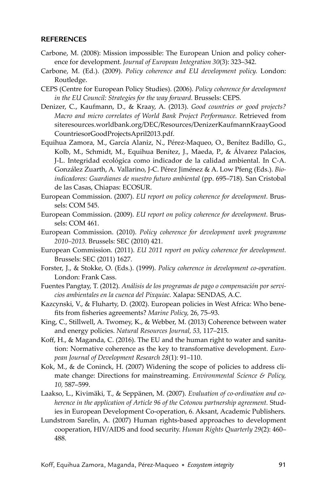#### **REFERENCES**

- Carbone, M. (2008): Mission impossible: The European Union and policy coherence for development. *Journal of European Integration 30*(3): 323–342.
- Carbone, M. (Ed.). (2009). *Policy coherence and EU development policy.* London: Routledge.
- CEPS (Centre for European Policy Studies). (2006). *Policy coherence for development in the EU Council: Strategies for the way forward.* Brussels: CEPS.
- Denizer, C., Kaufmann, D., & Kraay, A. (2013). *Good countries or good projects? Macro and micro correlates of World Bank Project Performance.* Retrieved from siteresources.worldbank.org/DEC/Resources/DenizerKaufmannKraayGood CountriesorGoodProjectsApril2013.pdf.
- Equihua Zamora, M., García Alaniz, N., Pérez-Maqueo, O., Benítez Badillo, G., Kolb, M., Schmidt, M., Equihua Benítez, J., Maeda, P., & Álvarez Palacios, J-L. Integridad ecológica como indicador de la calidad ambiental. In C-A. González Zuarth, A. Vallarino, J-C. Pérez Jiménez & A. Low Pfeng (Eds.). *Bioindicadores: Guardianes de nuestro futuro ambiental* (pp. 695–718). San Cristobal de las Casas, Chiapas: ECOSUR.
- European Commission. (2007). *EU report on policy coherence for development.* Brussels: COM 545.
- European Commission. (2009). *EU report on policy coherence for development.* Brussels: COM 461.
- European Commission. (2010). *Policy coherence for development work programme 2010–2013.* Brussels: SEC (2010) 421.
- European Commission. (2011). *EU 2011 report on policy coherence for development.* Brussels: SEC (2011) 1627.
- Forster, J., & Stokke, O. (Eds.). (1999). *Policy coherence in development co-operation.* London: Frank Cass.
- Fuentes Pangtay, T. (2012). *Análisis de los programas de pago o compensación por servicios ambientales en la cuenca del Pixquiac.* Xalapa: SENDAS, A.C.
- Kazcynski, V., & Fluharty, D. (2002). European policies in West Africa: Who benefits from fisheries agreements? Marine Policy, 26, 75-93.
- King, C., Stillwell, A. Twomey, K., & Webber, M. (2013) Coherence between water and energy policies. *Natural Resources Journal, 53,* 117–215.
- Koff, H., & Maganda, C. (2016). The EU and the human right to water and sanitation: Normative coherence as the key to transformative development. *European Journal of Development Research 28*(1): 91–110.
- Kok, M., & de Coninck, H. (2007) Widening the scope of policies to address climate change: Directions for mainstreaming. *Environmental Science & Policy, 10,* 587–599.
- Laakso, L., Kivimäki, T., & Seppänen, M. (2007). *Evaluation of co-ordination and coherence in the application of Article 96 of the Cotonou partnership agreement.* Studies in European Development Co-operation, 6. Aksant, Academic Publishers.
- Lundstrom Sarelin, A. (2007) Human rights-based approaches to development cooperation, HIV/AIDS and food security. *Human Rights Quarterly 29*(2): 460– 488.